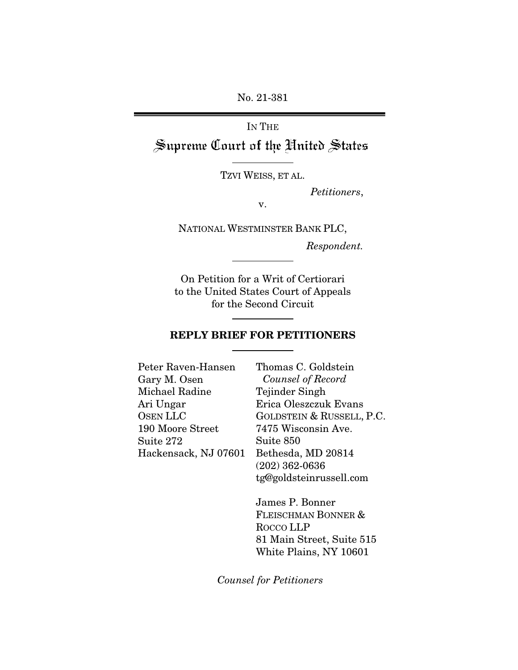No. 21-381

IN THE Supreme Court of the United States

TZVI WEISS, ET AL.

*Petitioners*,

v.

NATIONAL WESTMINSTER BANK PLC,

*Respondent.*

On Petition for a Writ of Certiorari to the United States Court of Appeals for the Second Circuit

### REPLY BRIEF FOR PETITIONERS

| Peter Raven-Hansen    | Thomas C. Goldstein       |
|-----------------------|---------------------------|
| Gary M. Osen          | Counsel of Record         |
| Michael Radine        | Tejinder Singh            |
| Ari Ungar             | Erica Oleszczuk Evans     |
| OSEN LLC              | GOLDSTEIN & RUSSELL, P.C. |
| 190 Moore Street      | 7475 Wisconsin Ave.       |
| $\mathrm{Suite}\ 272$ | Suite 850                 |
| Hackensack, NJ 07601  | Bethesda, MD 20814        |
|                       | $(202)$ 362-0636          |
|                       | tg@goldsteinrussell.com   |

James P. Bonner FLEISCHMAN BONNER & ROCCO LLP 81 Main Street, Suite 515 White Plains, NY 10601

*Counsel for Petitioners*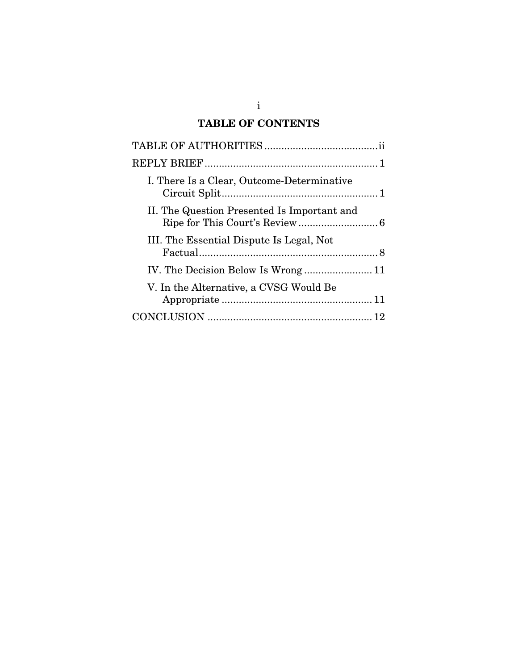# TABLE OF CONTENTS

| I. There Is a Clear, Outcome-Determinative  |  |
|---------------------------------------------|--|
| II. The Question Presented Is Important and |  |
| III. The Essential Dispute Is Legal, Not    |  |
|                                             |  |
| V. In the Alternative, a CVSG Would Be      |  |
|                                             |  |
|                                             |  |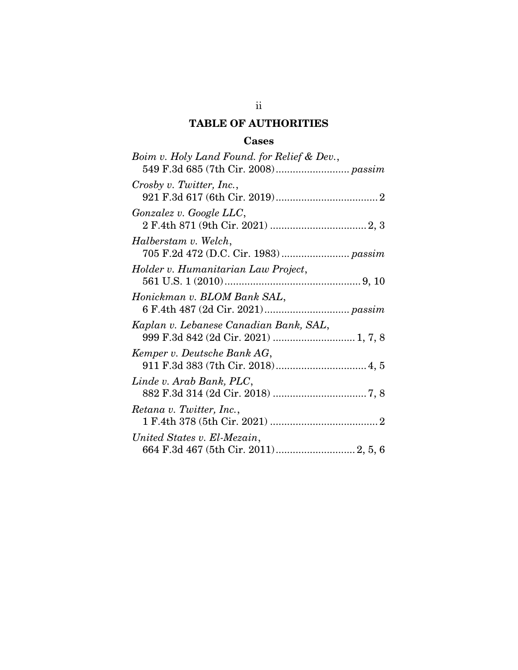## TABLE OF AUTHORITIES

## Cases

<span id="page-2-0"></span>

| Boim v. Holy Land Found. for Relief & Dev., |
|---------------------------------------------|
| Crosby v. Twitter, Inc.,                    |
| Gonzalez v. Google LLC,                     |
| Halberstam v. Welch,                        |
| Holder v. Humanitarian Law Project,         |
| Honickman v. BLOM Bank SAL,                 |
| Kaplan v. Lebanese Canadian Bank, SAL,      |
| Kemper v. Deutsche Bank AG,                 |
| Linde v. Arab Bank, PLC,                    |
| Retana v. Twitter, Inc.,                    |
| United States v. El-Mezain,                 |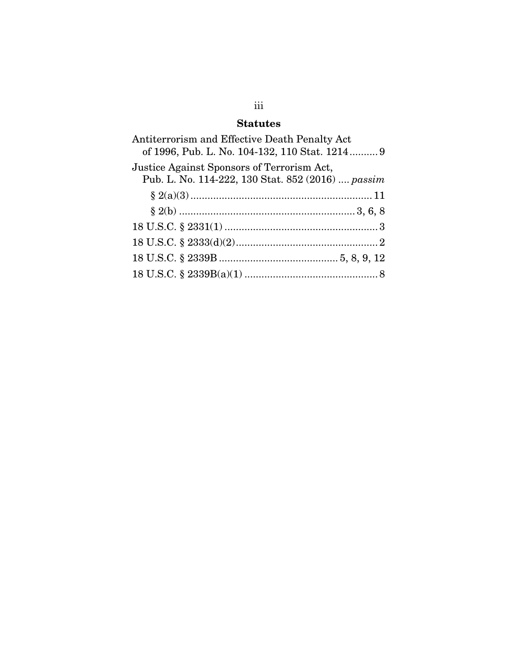## Statutes

| of 1996, Pub. L. No. 104-132, 110 Stat. 1214 9    |
|---------------------------------------------------|
| Pub. L. No. 114-222, 130 Stat. 852 (2016)  passim |
|                                                   |
|                                                   |
|                                                   |
|                                                   |
|                                                   |
|                                                   |
|                                                   |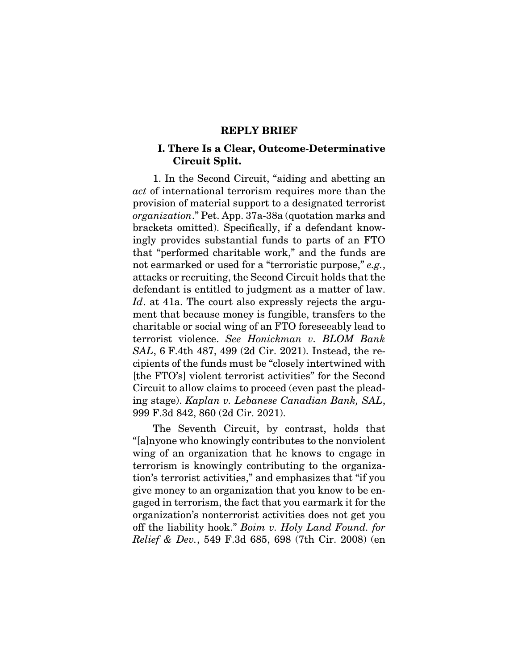#### REPLY BRIEF

#### <span id="page-4-1"></span><span id="page-4-0"></span>I. There Is a Clear, Outcome-Determinative Circuit Split.

1. In the Second Circuit, "aiding and abetting an *act* of international terrorism requires more than the provision of material support to a designated terrorist *organization*." Pet. App. 37a-38a (quotation marks and brackets omitted). Specifically, if a defendant knowingly provides substantial funds to parts of an FTO that "performed charitable work," and the funds are not earmarked or used for a "terroristic purpose," *e.g.*, attacks or recruiting, the Second Circuit holds that the defendant is entitled to judgment as a matter of law. *Id*. at 41a. The court also expressly rejects the argument that because money is fungible, transfers to the charitable or social wing of an FTO foreseeably lead to terrorist violence. *See Honickman v. BLOM Bank SAL*, 6 F.4th 487, 499 (2d Cir. 2021). Instead, the recipients of the funds must be "closely intertwined with [the FTO's] violent terrorist activities" for the Second Circuit to allow claims to proceed (even past the pleading stage). *Kaplan v. Lebanese Canadian Bank, SAL*, 999 F.3d 842, 860 (2d Cir. 2021).

The Seventh Circuit, by contrast, holds that "[a]nyone who knowingly contributes to the nonviolent wing of an organization that he knows to engage in terrorism is knowingly contributing to the organization's terrorist activities," and emphasizes that "if you give money to an organization that you know to be engaged in terrorism, the fact that you earmark it for the organization's nonterrorist activities does not get you off the liability hook." *Boim v. Holy Land Found. for Relief & Dev.*, 549 F.3d 685, 698 (7th Cir. 2008) (en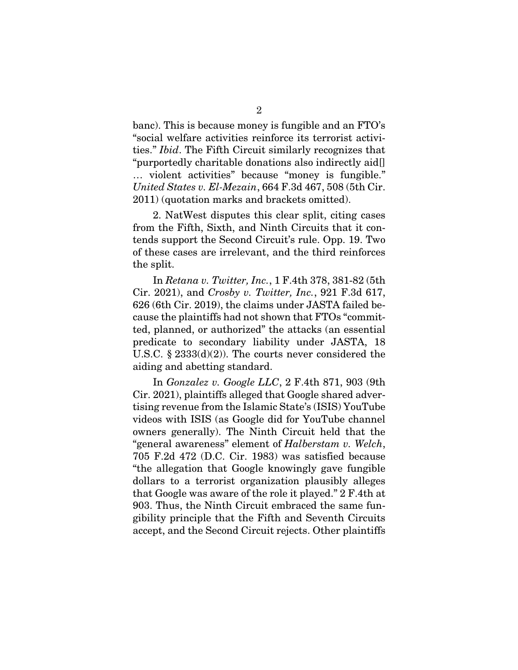banc). This is because money is fungible and an FTO's "social welfare activities reinforce its terrorist activities." *Ibid*. The Fifth Circuit similarly recognizes that "purportedly charitable donations also indirectly aid[] … violent activities" because "money is fungible." *United States v. El-Mezain*, 664 F.3d 467, 508 (5th Cir. 2011) (quotation marks and brackets omitted).

2. NatWest disputes this clear split, citing cases from the Fifth, Sixth, and Ninth Circuits that it contends support the Second Circuit's rule. Opp. 19. Two of these cases are irrelevant, and the third reinforces the split.

In *Retana v. Twitter, Inc.*, 1 F.4th 378, 381-82 (5th Cir. 2021), and *Crosby v. Twitter, Inc.*, 921 F.3d 617, 626 (6th Cir. 2019), the claims under JASTA failed because the plaintiffs had not shown that FTOs "committed, planned, or authorized" the attacks (an essential predicate to secondary liability under JASTA, 18 U.S.C. § 2333(d)(2)). The courts never considered the aiding and abetting standard.

In *Gonzalez v. Google LLC*, 2 F.4th 871, 903 (9th Cir. 2021), plaintiffs alleged that Google shared advertising revenue from the Islamic State's (ISIS) YouTube videos with ISIS (as Google did for YouTube channel owners generally). The Ninth Circuit held that the "general awareness" element of *Halberstam v. Welch*, 705 F.2d 472 (D.C. Cir. 1983) was satisfied because "the allegation that Google knowingly gave fungible dollars to a terrorist organization plausibly alleges that Google was aware of the role it played." 2 F.4th at 903. Thus, the Ninth Circuit embraced the same fungibility principle that the Fifth and Seventh Circuits accept, and the Second Circuit rejects. Other plaintiffs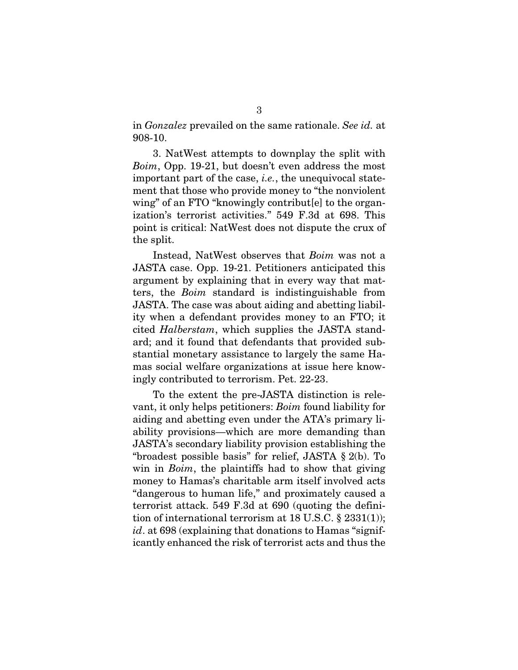in *Gonzalez* prevailed on the same rationale. *See id.* at 908-10.

3. NatWest attempts to downplay the split with *Boim*, Opp. 19-21, but doesn't even address the most important part of the case, *i.e.*, the unequivocal statement that those who provide money to "the nonviolent wing" of an FTO "knowingly contribut [e] to the organization's terrorist activities." 549 F.3d at 698. This point is critical: NatWest does not dispute the crux of the split.

Instead, NatWest observes that *Boim* was not a JASTA case. Opp. 19-21. Petitioners anticipated this argument by explaining that in every way that matters, the *Boim* standard is indistinguishable from JASTA. The case was about aiding and abetting liability when a defendant provides money to an FTO; it cited *Halberstam*, which supplies the JASTA standard; and it found that defendants that provided substantial monetary assistance to largely the same Hamas social welfare organizations at issue here knowingly contributed to terrorism. Pet. 22-23.

To the extent the pre-JASTA distinction is relevant, it only helps petitioners: *Boim* found liability for aiding and abetting even under the ATA's primary liability provisions—which are more demanding than JASTA's secondary liability provision establishing the "broadest possible basis" for relief, JASTA § 2(b). To win in *Boim*, the plaintiffs had to show that giving money to Hamas's charitable arm itself involved acts "dangerous to human life," and proximately caused a terrorist attack. 549 F.3d at 690 (quoting the definition of international terrorism at  $18$  U.S.C.  $\S$   $2331(1)$ ; *id*. at 698 (explaining that donations to Hamas "significantly enhanced the risk of terrorist acts and thus the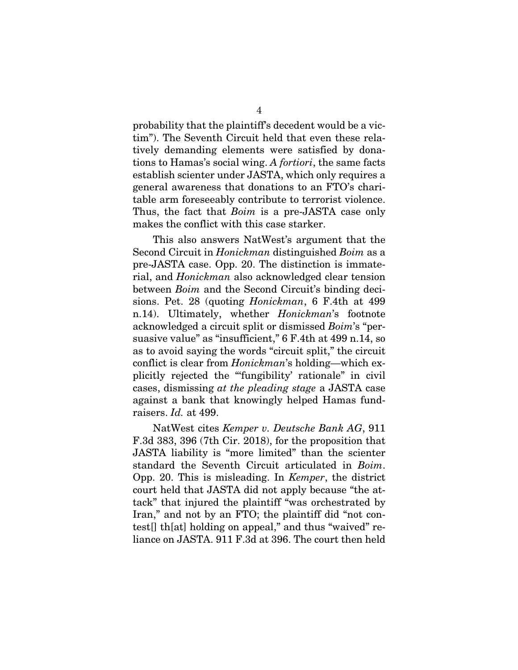probability that the plaintiff's decedent would be a victim"). The Seventh Circuit held that even these relatively demanding elements were satisfied by donations to Hamas's social wing. *A fortiori*, the same facts establish scienter under JASTA, which only requires a general awareness that donations to an FTO's charitable arm foreseeably contribute to terrorist violence. Thus, the fact that *Boim* is a pre-JASTA case only makes the conflict with this case starker.

This also answers NatWest's argument that the Second Circuit in *Honickman* distinguished *Boim* as a pre-JASTA case. Opp. 20. The distinction is immaterial, and *Honickman* also acknowledged clear tension between *Boim* and the Second Circuit's binding decisions. Pet. 28 (quoting *Honickman*, 6 F.4th at 499 n.14). Ultimately, whether *Honickman*'s footnote acknowledged a circuit split or dismissed *Boim*'s "persuasive value" as "insufficient," 6 F.4th at 499 n.14, so as to avoid saying the words "circuit split," the circuit conflict is clear from *Honickman*'s holding—which explicitly rejected the "'fungibility' rationale" in civil cases, dismissing *at the pleading stage* a JASTA case against a bank that knowingly helped Hamas fundraisers. *Id.* at 499.

NatWest cites *Kemper v. Deutsche Bank AG*, 911 F.3d 383, 396 (7th Cir. 2018), for the proposition that JASTA liability is "more limited" than the scienter standard the Seventh Circuit articulated in *Boim*. Opp. 20. This is misleading. In *Kemper*, the district court held that JASTA did not apply because "the attack" that injured the plaintiff "was orchestrated by Iran," and not by an FTO; the plaintiff did "not contest[] th[at] holding on appeal," and thus "waived" reliance on JASTA. 911 F.3d at 396. The court then held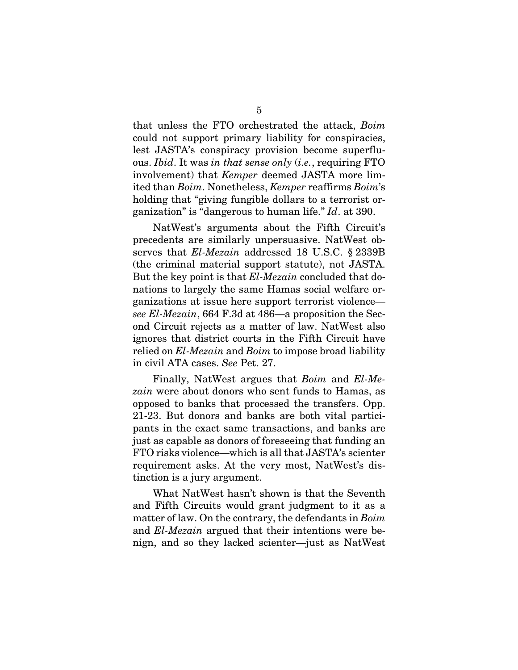that unless the FTO orchestrated the attack, *Boim* could not support primary liability for conspiracies, lest JASTA's conspiracy provision become superfluous. *Ibid*. It was *in that sense only* (*i.e.*, requiring FTO involvement) that *Kemper* deemed JASTA more limited than *Boim*. Nonetheless, *Kemper* reaffirms *Boim*'s holding that "giving fungible dollars to a terrorist organization" is "dangerous to human life." *Id*. at 390.

NatWest's arguments about the Fifth Circuit's precedents are similarly unpersuasive. NatWest observes that *El-Mezain* addressed 18 U.S.C. § 2339B (the criminal material support statute), not JASTA. But the key point is that *El-Mezain* concluded that donations to largely the same Hamas social welfare organizations at issue here support terrorist violence *see El-Mezain*, 664 F.3d at 486—a proposition the Second Circuit rejects as a matter of law. NatWest also ignores that district courts in the Fifth Circuit have relied on *El-Mezain* and *Boim* to impose broad liability in civil ATA cases. *See* Pet. 27.

Finally, NatWest argues that *Boim* and *El-Mezain* were about donors who sent funds to Hamas, as opposed to banks that processed the transfers. Opp. 21-23. But donors and banks are both vital participants in the exact same transactions, and banks are just as capable as donors of foreseeing that funding an FTO risks violence—which is all that JASTA's scienter requirement asks. At the very most, NatWest's distinction is a jury argument.

What NatWest hasn't shown is that the Seventh and Fifth Circuits would grant judgment to it as a matter of law. On the contrary, the defendants in *Boim* and *El-Mezain* argued that their intentions were benign, and so they lacked scienter—just as NatWest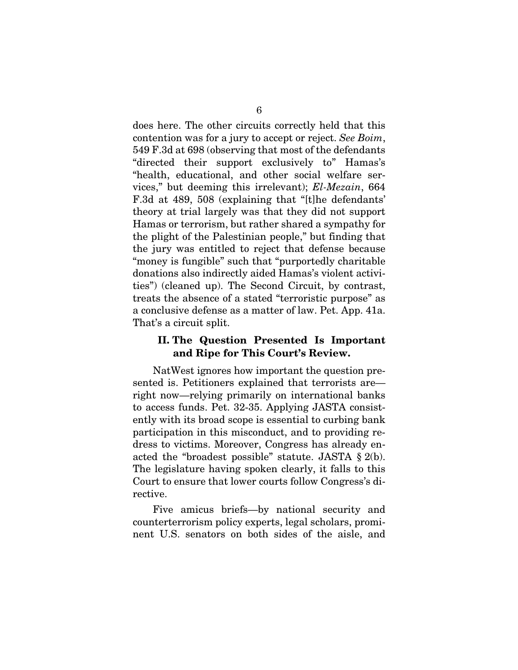does here. The other circuits correctly held that this contention was for a jury to accept or reject. *See Boim*, 549 F.3d at 698 (observing that most of the defendants "directed their support exclusively to" Hamas's "health, educational, and other social welfare services," but deeming this irrelevant); *El-Mezain*, 664 F.3d at 489, 508 (explaining that "[t]he defendants' theory at trial largely was that they did not support Hamas or terrorism, but rather shared a sympathy for the plight of the Palestinian people," but finding that the jury was entitled to reject that defense because "money is fungible" such that "purportedly charitable donations also indirectly aided Hamas's violent activities") (cleaned up). The Second Circuit, by contrast, treats the absence of a stated "terroristic purpose" as a conclusive defense as a matter of law. Pet. App. 41a. That's a circuit split.

#### <span id="page-9-0"></span>II. The Question Presented Is Important and Ripe for This Court's Review.

NatWest ignores how important the question presented is. Petitioners explained that terrorists are right now—relying primarily on international banks to access funds. Pet. 32-35. Applying JASTA consistently with its broad scope is essential to curbing bank participation in this misconduct, and to providing redress to victims. Moreover, Congress has already enacted the "broadest possible" statute. JASTA § 2(b). The legislature having spoken clearly, it falls to this Court to ensure that lower courts follow Congress's directive.

Five amicus briefs—by national security and counterterrorism policy experts, legal scholars, prominent U.S. senators on both sides of the aisle, and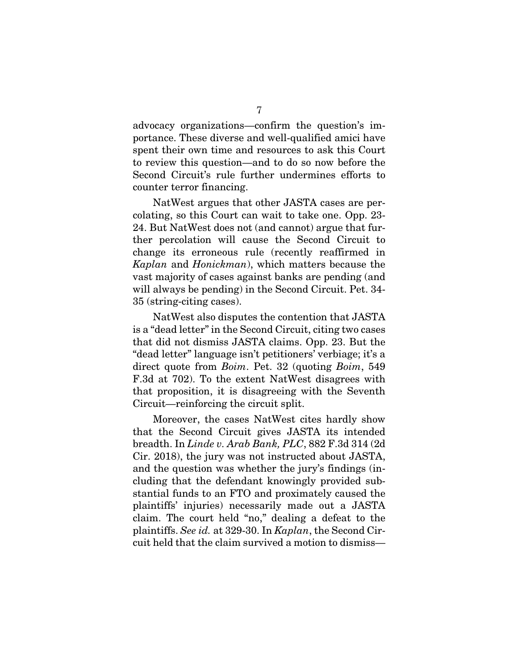advocacy organizations—confirm the question's importance. These diverse and well-qualified amici have spent their own time and resources to ask this Court to review this question—and to do so now before the Second Circuit's rule further undermines efforts to counter terror financing.

NatWest argues that other JASTA cases are percolating, so this Court can wait to take one. Opp. 23- 24. But NatWest does not (and cannot) argue that further percolation will cause the Second Circuit to change its erroneous rule (recently reaffirmed in *Kaplan* and *Honickman*), which matters because the vast majority of cases against banks are pending (and will always be pending) in the Second Circuit. Pet. 34- 35 (string-citing cases).

NatWest also disputes the contention that JASTA is a "dead letter" in the Second Circuit, citing two cases that did not dismiss JASTA claims. Opp. 23. But the "dead letter" language isn't petitioners' verbiage; it's a direct quote from *Boim*. Pet. 32 (quoting *Boim*, 549 F.3d at 702). To the extent NatWest disagrees with that proposition, it is disagreeing with the Seventh Circuit—reinforcing the circuit split.

Moreover, the cases NatWest cites hardly show that the Second Circuit gives JASTA its intended breadth. In *Linde v. Arab Bank, PLC*, 882 F.3d 314 (2d Cir. 2018), the jury was not instructed about JASTA, and the question was whether the jury's findings (including that the defendant knowingly provided substantial funds to an FTO and proximately caused the plaintiffs' injuries) necessarily made out a JASTA claim. The court held "no," dealing a defeat to the plaintiffs. *See id.* at 329-30. In *Kaplan*, the Second Circuit held that the claim survived a motion to dismiss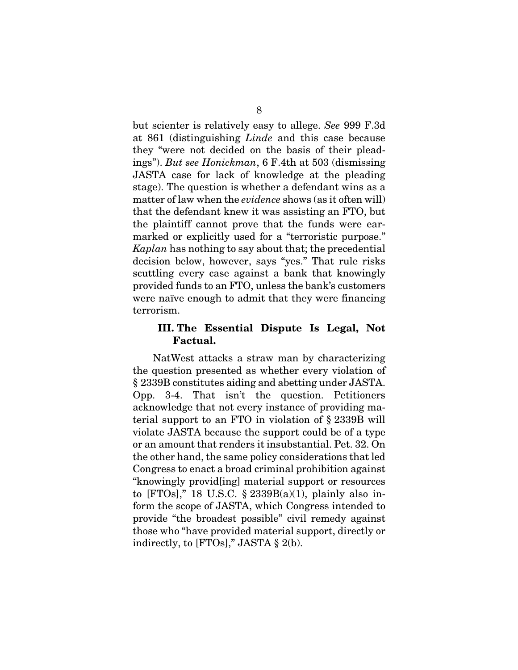but scienter is relatively easy to allege. *See* 999 F.3d at 861 (distinguishing *Linde* and this case because they "were not decided on the basis of their pleadings"). *But see Honickman*, 6 F.4th at 503 (dismissing JASTA case for lack of knowledge at the pleading stage). The question is whether a defendant wins as a matter of law when the *evidence* shows (as it often will) that the defendant knew it was assisting an FTO, but the plaintiff cannot prove that the funds were earmarked or explicitly used for a "terroristic purpose." *Kaplan* has nothing to say about that; the precedential decision below, however, says "yes." That rule risks scuttling every case against a bank that knowingly provided funds to an FTO, unless the bank's customers were naïve enough to admit that they were financing terrorism.

#### <span id="page-11-0"></span>III. The Essential Dispute Is Legal, Not Factual.

NatWest attacks a straw man by characterizing the question presented as whether every violation of § 2339B constitutes aiding and abetting under JASTA. Opp. 3-4. That isn't the question. Petitioners acknowledge that not every instance of providing material support to an FTO in violation of § 2339B will violate JASTA because the support could be of a type or an amount that renders it insubstantial. Pet. 32. On the other hand, the same policy considerations that led Congress to enact a broad criminal prohibition against "knowingly provid[ing] material support or resources to [FTOs]," 18 U.S.C.  $\S$  2339B(a)(1), plainly also inform the scope of JASTA, which Congress intended to provide "the broadest possible" civil remedy against those who "have provided material support, directly or indirectly, to  $[FTOs]$ ," JASTA § 2(b).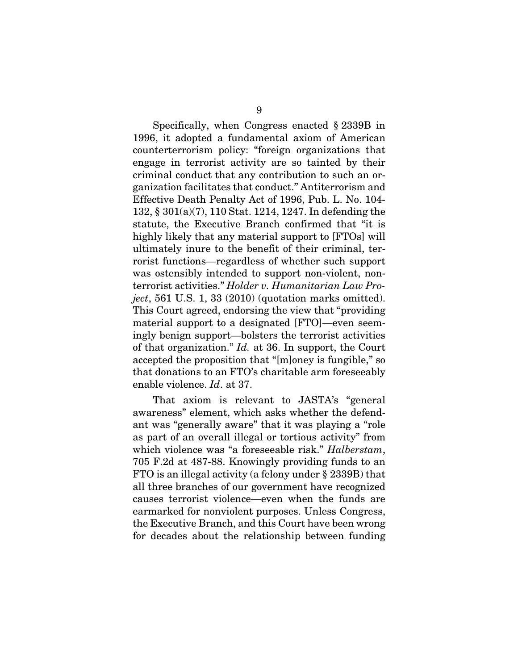Specifically, when Congress enacted § 2339B in 1996, it adopted a fundamental axiom of American counterterrorism policy: "foreign organizations that engage in terrorist activity are so tainted by their criminal conduct that any contribution to such an organization facilitates that conduct." Antiterrorism and Effective Death Penalty Act of 1996, Pub. L. No. 104- 132, § 301(a)(7), 110 Stat. 1214, 1247. In defending the statute, the Executive Branch confirmed that "it is highly likely that any material support to [FTOs] will ultimately inure to the benefit of their criminal, terrorist functions—regardless of whether such support was ostensibly intended to support non-violent, nonterrorist activities." *Holder v. Humanitarian Law Project*, 561 U.S. 1, 33 (2010) (quotation marks omitted). This Court agreed, endorsing the view that "providing material support to a designated [FTO]—even seemingly benign support—bolsters the terrorist activities of that organization." *Id.* at 36. In support, the Court accepted the proposition that "[m]oney is fungible," so that donations to an FTO's charitable arm foreseeably enable violence. *Id*. at 37.

That axiom is relevant to JASTA's "general awareness" element, which asks whether the defendant was "generally aware" that it was playing a "role as part of an overall illegal or tortious activity" from which violence was "a foreseeable risk." *Halberstam*, 705 F.2d at 487-88. Knowingly providing funds to an FTO is an illegal activity (a felony under § 2339B) that all three branches of our government have recognized causes terrorist violence—even when the funds are earmarked for nonviolent purposes. Unless Congress, the Executive Branch, and this Court have been wrong for decades about the relationship between funding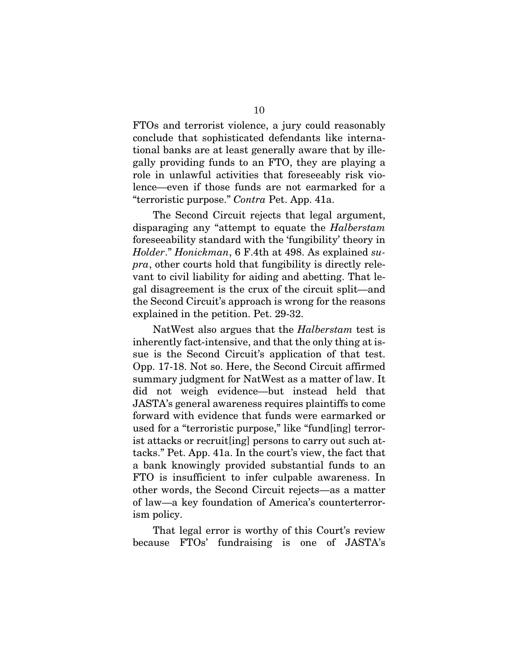FTOs and terrorist violence, a jury could reasonably conclude that sophisticated defendants like international banks are at least generally aware that by illegally providing funds to an FTO, they are playing a role in unlawful activities that foreseeably risk violence—even if those funds are not earmarked for a "terroristic purpose." *Contra* Pet. App. 41a.

The Second Circuit rejects that legal argument, disparaging any "attempt to equate the *Halberstam* foreseeability standard with the 'fungibility' theory in *Holder*." *Honickman*, 6 F.4th at 498. As explained *supra*, other courts hold that fungibility is directly relevant to civil liability for aiding and abetting. That legal disagreement is the crux of the circuit split—and the Second Circuit's approach is wrong for the reasons explained in the petition. Pet. 29-32.

NatWest also argues that the *Halberstam* test is inherently fact-intensive, and that the only thing at issue is the Second Circuit's application of that test. Opp. 17-18. Not so. Here, the Second Circuit affirmed summary judgment for NatWest as a matter of law. It did not weigh evidence—but instead held that JASTA's general awareness requires plaintiffs to come forward with evidence that funds were earmarked or used for a "terroristic purpose," like "fund[ing] terrorist attacks or recruit[ing] persons to carry out such attacks." Pet. App. 41a. In the court's view, the fact that a bank knowingly provided substantial funds to an FTO is insufficient to infer culpable awareness. In other words, the Second Circuit rejects—as a matter of law—a key foundation of America's counterterrorism policy.

That legal error is worthy of this Court's review because FTOs' fundraising is one of JASTA's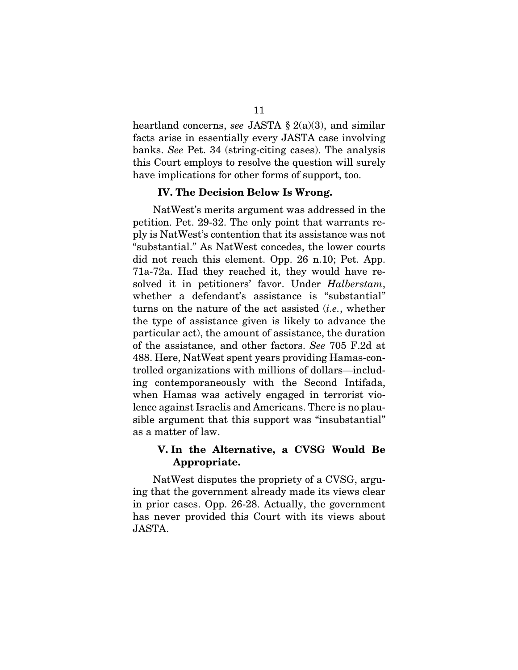heartland concerns, *see* JASTA § 2(a)(3), and similar facts arise in essentially every JASTA case involving banks. *See* Pet. 34 (string-citing cases). The analysis this Court employs to resolve the question will surely have implications for other forms of support, too.

#### IV. The Decision Below Is Wrong.

<span id="page-14-0"></span>NatWest's merits argument was addressed in the petition. Pet. 29-32. The only point that warrants reply is NatWest's contention that its assistance was not "substantial." As NatWest concedes, the lower courts did not reach this element. Opp. 26 n.10; Pet. App. 71a-72a. Had they reached it, they would have resolved it in petitioners' favor. Under *Halberstam*, whether a defendant's assistance is "substantial" turns on the nature of the act assisted (*i.e.*, whether the type of assistance given is likely to advance the particular act), the amount of assistance, the duration of the assistance, and other factors. *See* 705 F.2d at 488. Here, NatWest spent years providing Hamas-controlled organizations with millions of dollars—including contemporaneously with the Second Intifada, when Hamas was actively engaged in terrorist violence against Israelis and Americans. There is no plausible argument that this support was "insubstantial" as a matter of law.

### <span id="page-14-1"></span>V. In the Alternative, a CVSG Would Be Appropriate.

NatWest disputes the propriety of a CVSG, arguing that the government already made its views clear in prior cases. Opp. 26-28. Actually, the government has never provided this Court with its views about JASTA.